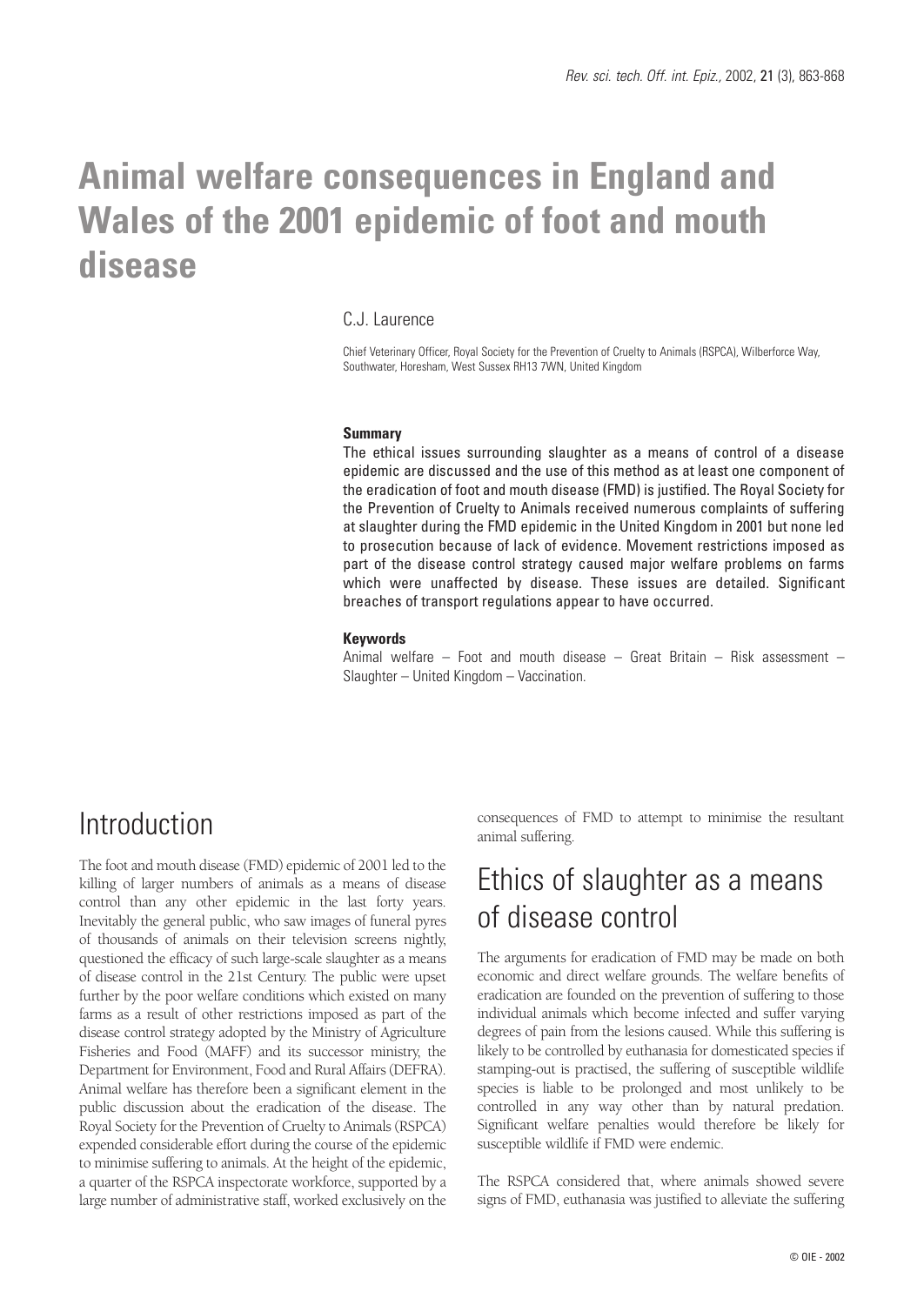# **Animal welfare consequences in England and Wales of the 2001 epidemic of foot and mouth disease**

#### C.J. Laurence

Chief Veterinary Officer, Royal Society for the Prevention of Cruelty to Animals (RSPCA), Wilberforce Way, Southwater, Horesham, West Sussex RH13 7WN, United Kingdom

#### **Summary**

The ethical issues surrounding slaughter as a means of control of a disease epidemic are discussed and the use of this method as at least one component of the eradication of foot and mouth disease (FMD) is justified. The Royal Society for the Prevention of Cruelty to Animals received numerous complaints of suffering at slaughter during the FMD epidemic in the United Kingdom in 2001 but none led to prosecution because of lack of evidence. Movement restrictions imposed as part of the disease control strategy caused major welfare problems on farms which were unaffected by disease. These issues are detailed. Significant breaches of transport regulations appear to have occurred.

#### **Keywords**

Animal welfare – Foot and mouth disease – Great Britain – Risk assessment – Slaughter – United Kingdom – Vaccination.

### Introduction

The foot and mouth disease (FMD) epidemic of 2001 led to the killing of larger numbers of animals as a means of disease control than any other epidemic in the last forty years. Inevitably the general public, who saw images of funeral pyres of thousands of animals on their television screens nightly, questioned the efficacy of such large-scale slaughter as a means of disease control in the 21st Century. The public were upset further by the poor welfare conditions which existed on many farms as a result of other restrictions imposed as part of the disease control strategy adopted by the Ministry of Agriculture Fisheries and Food (MAFF) and its successor ministry, the Department for Environment, Food and Rural Affairs (DEFRA). Animal welfare has therefore been a significant element in the public discussion about the eradication of the disease. The Royal Society for the Prevention of Cruelty to Animals (RSPCA) expended considerable effort during the course of the epidemic to minimise suffering to animals. At the height of the epidemic, a quarter of the RSPCA inspectorate workforce, supported by a large number of administrative staff, worked exclusively on the

consequences of FMD to attempt to minimise the resultant animal suffering.

## Ethics of slaughter as a means of disease control

The arguments for eradication of FMD may be made on both economic and direct welfare grounds. The welfare benefits of eradication are founded on the prevention of suffering to those individual animals which become infected and suffer varying degrees of pain from the lesions caused. While this suffering is likely to be controlled by euthanasia for domesticated species if stamping-out is practised, the suffering of susceptible wildlife species is liable to be prolonged and most unlikely to be controlled in any way other than by natural predation. Significant welfare penalties would therefore be likely for susceptible wildlife if FMD were endemic.

The RSPCA considered that, where animals showed severe signs of FMD, euthanasia was justified to alleviate the suffering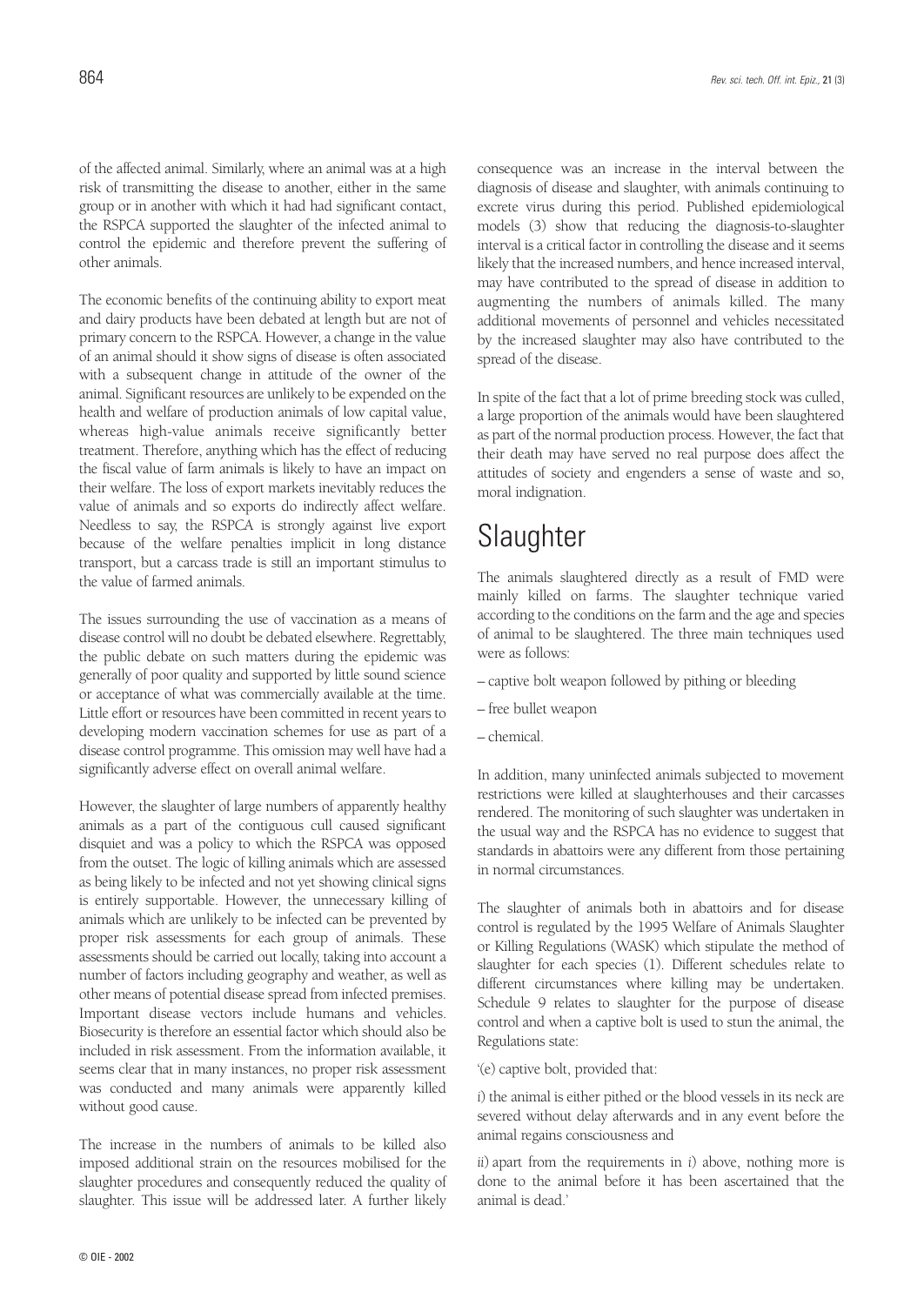of the affected animal. Similarly, where an animal was at a high risk of transmitting the disease to another, either in the same group or in another with which it had had significant contact, the RSPCA supported the slaughter of the infected animal to control the epidemic and therefore prevent the suffering of other animals.

The economic benefits of the continuing ability to export meat and dairy products have been debated at length but are not of primary concern to the RSPCA. However, a change in the value of an animal should it show signs of disease is often associated with a subsequent change in attitude of the owner of the animal. Significant resources are unlikely to be expended on the health and welfare of production animals of low capital value, whereas high-value animals receive significantly better treatment. Therefore, anything which has the effect of reducing the fiscal value of farm animals is likely to have an impact on their welfare. The loss of export markets inevitably reduces the value of animals and so exports do indirectly affect welfare. Needless to say, the RSPCA is strongly against live export because of the welfare penalties implicit in long distance transport, but a carcass trade is still an important stimulus to the value of farmed animals.

The issues surrounding the use of vaccination as a means of disease control will no doubt be debated elsewhere. Regrettably, the public debate on such matters during the epidemic was generally of poor quality and supported by little sound science or acceptance of what was commercially available at the time. Little effort or resources have been committed in recent years to developing modern vaccination schemes for use as part of a disease control programme. This omission may well have had a significantly adverse effect on overall animal welfare.

However, the slaughter of large numbers of apparently healthy animals as a part of the contiguous cull caused significant disquiet and was a policy to which the RSPCA was opposed from the outset. The logic of killing animals which are assessed as being likely to be infected and not yet showing clinical signs is entirely supportable. However, the unnecessary killing of animals which are unlikely to be infected can be prevented by proper risk assessments for each group of animals. These assessments should be carried out locally, taking into account a number of factors including geography and weather, as well as other means of potential disease spread from infected premises. Important disease vectors include humans and vehicles. Biosecurity is therefore an essential factor which should also be included in risk assessment. From the information available, it seems clear that in many instances, no proper risk assessment was conducted and many animals were apparently killed without good cause.

The increase in the numbers of animals to be killed also imposed additional strain on the resources mobilised for the slaughter procedures and consequently reduced the quality of slaughter. This issue will be addressed later. A further likely consequence was an increase in the interval between the diagnosis of disease and slaughter, with animals continuing to excrete virus during this period. Published epidemiological models (3) show that reducing the diagnosis-to-slaughter interval is a critical factor in controlling the disease and it seems likely that the increased numbers, and hence increased interval, may have contributed to the spread of disease in addition to augmenting the numbers of animals killed. The many additional movements of personnel and vehicles necessitated by the increased slaughter may also have contributed to the spread of the disease.

In spite of the fact that a lot of prime breeding stock was culled, a large proportion of the animals would have been slaughtered as part of the normal production process. However, the fact that their death may have served no real purpose does affect the attitudes of society and engenders a sense of waste and so, moral indignation.

# **Slaughter**

The animals slaughtered directly as a result of FMD were mainly killed on farms. The slaughter technique varied according to the conditions on the farm and the age and species of animal to be slaughtered. The three main techniques used were as follows:

- captive bolt weapon followed by pithing or bleeding
- free bullet weapon
- chemical.

In addition, many uninfected animals subjected to movement restrictions were killed at slaughterhouses and their carcasses rendered. The monitoring of such slaughter was undertaken in the usual way and the RSPCA has no evidence to suggest that standards in abattoirs were any different from those pertaining in normal circumstances.

The slaughter of animals both in abattoirs and for disease control is regulated by the 1995 Welfare of Animals Slaughter or Killing Regulations (WASK) which stipulate the method of slaughter for each species (1). Different schedules relate to different circumstances where killing may be undertaken. Schedule 9 relates to slaughter for the purpose of disease control and when a captive bolt is used to stun the animal, the Regulations state:

'(e) captive bolt, provided that:

*i*) the animal is either pithed or the blood vessels in its neck are severed without delay afterwards and in any event before the animal regains consciousness and

*ii*) apart from the requirements in *i*) above, nothing more is done to the animal before it has been ascertained that the animal is dead.'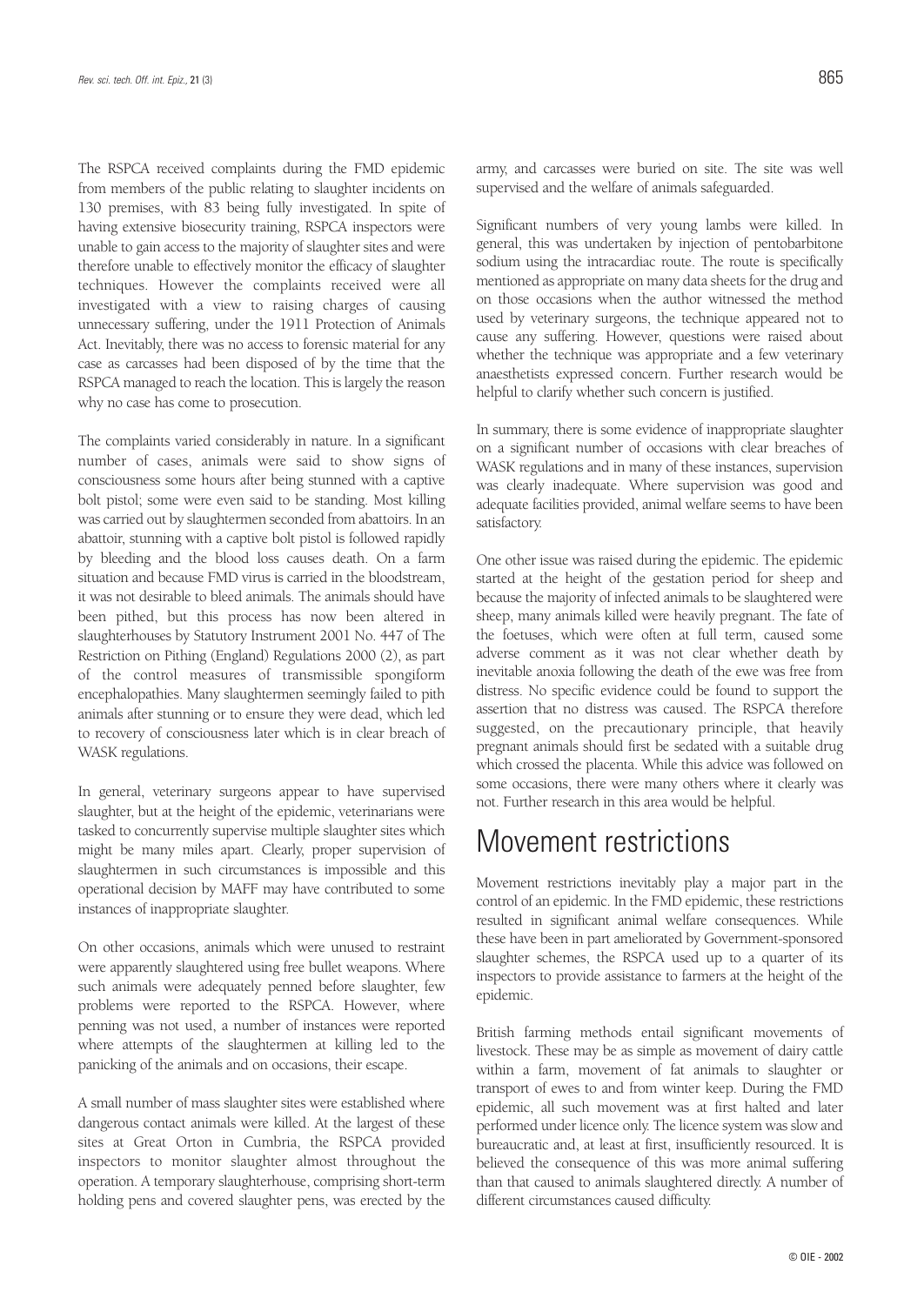The RSPCA received complaints during the FMD epidemic from members of the public relating to slaughter incidents on 130 premises, with 83 being fully investigated. In spite of having extensive biosecurity training, RSPCA inspectors were unable to gain access to the majority of slaughter sites and were therefore unable to effectively monitor the efficacy of slaughter techniques. However the complaints received were all investigated with a view to raising charges of causing unnecessary suffering, under the 1911 Protection of Animals Act. Inevitably, there was no access to forensic material for any case as carcasses had been disposed of by the time that the RSPCA managed to reach the location. This is largely the reason why no case has come to prosecution.

The complaints varied considerably in nature. In a significant number of cases, animals were said to show signs of consciousness some hours after being stunned with a captive bolt pistol; some were even said to be standing. Most killing was carried out by slaughtermen seconded from abattoirs. In an abattoir, stunning with a captive bolt pistol is followed rapidly by bleeding and the blood loss causes death. On a farm situation and because FMD virus is carried in the bloodstream, it was not desirable to bleed animals. The animals should have been pithed, but this process has now been altered in slaughterhouses by Statutory Instrument 2001 No. 447 of The Restriction on Pithing (England) Regulations 2000 (2), as part of the control measures of transmissible spongiform encephalopathies. Many slaughtermen seemingly failed to pith animals after stunning or to ensure they were dead, which led to recovery of consciousness later which is in clear breach of WASK regulations.

In general, veterinary surgeons appear to have supervised slaughter, but at the height of the epidemic, veterinarians were tasked to concurrently supervise multiple slaughter sites which might be many miles apart. Clearly, proper supervision of slaughtermen in such circumstances is impossible and this operational decision by MAFF may have contributed to some instances of inappropriate slaughter.

On other occasions, animals which were unused to restraint were apparently slaughtered using free bullet weapons. Where such animals were adequately penned before slaughter, few problems were reported to the RSPCA. However, where penning was not used, a number of instances were reported where attempts of the slaughtermen at killing led to the panicking of the animals and on occasions, their escape.

A small number of mass slaughter sites were established where dangerous contact animals were killed. At the largest of these sites at Great Orton in Cumbria, the RSPCA provided inspectors to monitor slaughter almost throughout the operation. A temporary slaughterhouse, comprising short-term holding pens and covered slaughter pens, was erected by the

army, and carcasses were buried on site. The site was well supervised and the welfare of animals safeguarded.

Significant numbers of very young lambs were killed. In general, this was undertaken by injection of pentobarbitone sodium using the intracardiac route. The route is specifically mentioned as appropriate on many data sheets for the drug and on those occasions when the author witnessed the method used by veterinary surgeons, the technique appeared not to cause any suffering. However, questions were raised about whether the technique was appropriate and a few veterinary anaesthetists expressed concern. Further research would be helpful to clarify whether such concern is justified.

In summary, there is some evidence of inappropriate slaughter on a significant number of occasions with clear breaches of WASK regulations and in many of these instances, supervision was clearly inadequate. Where supervision was good and adequate facilities provided, animal welfare seems to have been satisfactory.

One other issue was raised during the epidemic. The epidemic started at the height of the gestation period for sheep and because the majority of infected animals to be slaughtered were sheep, many animals killed were heavily pregnant. The fate of the foetuses, which were often at full term, caused some adverse comment as it was not clear whether death by inevitable anoxia following the death of the ewe was free from distress. No specific evidence could be found to support the assertion that no distress was caused. The RSPCA therefore suggested, on the precautionary principle, that heavily pregnant animals should first be sedated with a suitable drug which crossed the placenta. While this advice was followed on some occasions, there were many others where it clearly was not. Further research in this area would be helpful.

### Movement restrictions

Movement restrictions inevitably play a major part in the control of an epidemic. In the FMD epidemic, these restrictions resulted in significant animal welfare consequences. While these have been in part ameliorated by Government-sponsored slaughter schemes, the RSPCA used up to a quarter of its inspectors to provide assistance to farmers at the height of the epidemic.

British farming methods entail significant movements of livestock. These may be as simple as movement of dairy cattle within a farm, movement of fat animals to slaughter or transport of ewes to and from winter keep. During the FMD epidemic, all such movement was at first halted and later performed under licence only. The licence system was slow and bureaucratic and, at least at first, insufficiently resourced. It is believed the consequence of this was more animal suffering than that caused to animals slaughtered directly. A number of different circumstances caused difficulty.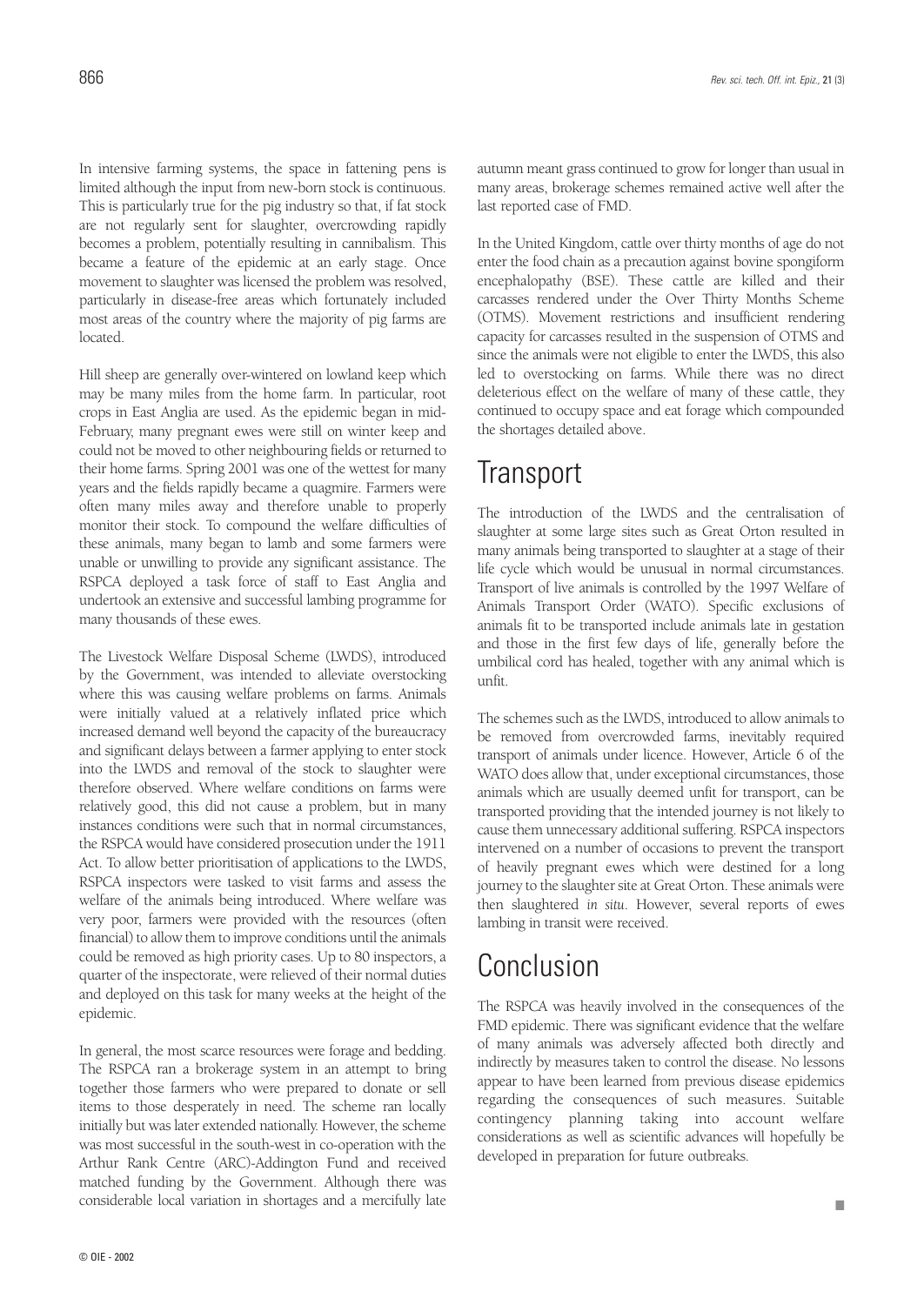In intensive farming systems, the space in fattening pens is limited although the input from new-born stock is continuous. This is particularly true for the pig industry so that, if fat stock are not regularly sent for slaughter, overcrowding rapidly becomes a problem, potentially resulting in cannibalism. This became a feature of the epidemic at an early stage. Once movement to slaughter was licensed the problem was resolved, particularly in disease-free areas which fortunately included most areas of the country where the majority of pig farms are located.

Hill sheep are generally over-wintered on lowland keep which may be many miles from the home farm. In particular, root crops in East Anglia are used. As the epidemic began in mid-February, many pregnant ewes were still on winter keep and could not be moved to other neighbouring fields or returned to their home farms. Spring 2001 was one of the wettest for many years and the fields rapidly became a quagmire. Farmers were often many miles away and therefore unable to properly monitor their stock. To compound the welfare difficulties of these animals, many began to lamb and some farmers were unable or unwilling to provide any significant assistance. The RSPCA deployed a task force of staff to East Anglia and undertook an extensive and successful lambing programme for many thousands of these ewes.

The Livestock Welfare Disposal Scheme (LWDS), introduced by the Government, was intended to alleviate overstocking where this was causing welfare problems on farms. Animals were initially valued at a relatively inflated price which increased demand well beyond the capacity of the bureaucracy and significant delays between a farmer applying to enter stock into the LWDS and removal of the stock to slaughter were therefore observed. Where welfare conditions on farms were relatively good, this did not cause a problem, but in many instances conditions were such that in normal circumstances, the RSPCA would have considered prosecution under the 1911 Act. To allow better prioritisation of applications to the LWDS, RSPCA inspectors were tasked to visit farms and assess the welfare of the animals being introduced. Where welfare was very poor, farmers were provided with the resources (often financial) to allow them to improve conditions until the animals could be removed as high priority cases. Up to 80 inspectors, a quarter of the inspectorate, were relieved of their normal duties and deployed on this task for many weeks at the height of the epidemic.

In general, the most scarce resources were forage and bedding. The RSPCA ran a brokerage system in an attempt to bring together those farmers who were prepared to donate or sell items to those desperately in need. The scheme ran locally initially but was later extended nationally. However, the scheme was most successful in the south-west in co-operation with the Arthur Rank Centre (ARC)-Addington Fund and received matched funding by the Government. Although there was considerable local variation in shortages and a mercifully late

autumn meant grass continued to grow for longer than usual in many areas, brokerage schemes remained active well after the last reported case of FMD.

In the United Kingdom, cattle over thirty months of age do not enter the food chain as a precaution against bovine spongiform encephalopathy (BSE). These cattle are killed and their carcasses rendered under the Over Thirty Months Scheme (OTMS). Movement restrictions and insufficient rendering capacity for carcasses resulted in the suspension of OTMS and since the animals were not eligible to enter the LWDS, this also led to overstocking on farms. While there was no direct deleterious effect on the welfare of many of these cattle, they continued to occupy space and eat forage which compounded the shortages detailed above.

### **Transport**

The introduction of the LWDS and the centralisation of slaughter at some large sites such as Great Orton resulted in many animals being transported to slaughter at a stage of their life cycle which would be unusual in normal circumstances. Transport of live animals is controlled by the 1997 Welfare of Animals Transport Order (WATO). Specific exclusions of animals fit to be transported include animals late in gestation and those in the first few days of life, generally before the umbilical cord has healed, together with any animal which is unfit.

The schemes such as the LWDS, introduced to allow animals to be removed from overcrowded farms, inevitably required transport of animals under licence. However, Article 6 of the WATO does allow that, under exceptional circumstances, those animals which are usually deemed unfit for transport, can be transported providing that the intended journey is not likely to cause them unnecessary additional suffering. RSPCA inspectors intervened on a number of occasions to prevent the transport of heavily pregnant ewes which were destined for a long journey to the slaughter site at Great Orton. These animals were then slaughtered *in situ*. However, several reports of ewes lambing in transit were received.

### Conclusion

The RSPCA was heavily involved in the consequences of the FMD epidemic. There was significant evidence that the welfare of many animals was adversely affected both directly and indirectly by measures taken to control the disease. No lessons appear to have been learned from previous disease epidemics regarding the consequences of such measures. Suitable contingency planning taking into account welfare considerations as well as scientific advances will hopefully be developed in preparation for future outbreaks.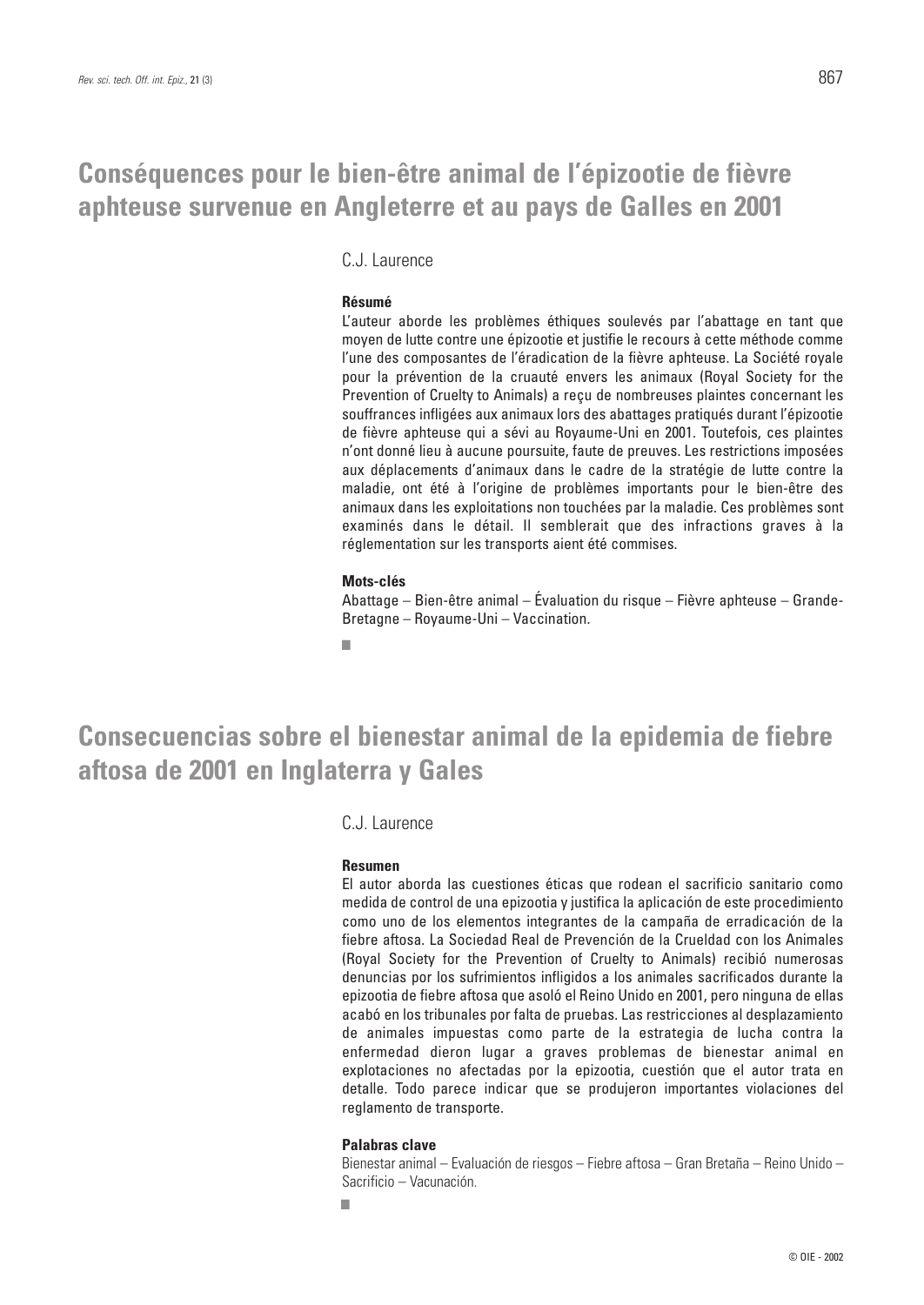### **Conséquences pour le bien-être animal de l'épizootie de fièvre aphteuse survenue en Angleterre et au pays de Galles en 2001**

C.J. Laurence

#### **Résumé**

L'auteur aborde les problèmes éthiques soulevés par l'abattage en tant que moyen de lutte contre une épizootie et justifie le recours à cette méthode comme l'une des composantes de l'éradication de la fièvre aphteuse. La Société royale pour la prévention de la cruauté envers les animaux (Royal Society for the Prevention of Cruelty to Animals) a reçu de nombreuses plaintes concernant les souffrances infligées aux animaux lors des abattages pratiqués durant l'épizootie de fièvre aphteuse qui a sévi au Royaume-Uni en 2001. Toutefois, ces plaintes n'ont donné lieu à aucune poursuite, faute de preuves. Les restrictions imposées aux déplacements d'animaux dans le cadre de la stratégie de lutte contre la maladie, ont été à l'origine de problèmes importants pour le bien-être des animaux dans les exploitations non touchées par la maladie. Ces problèmes sont examinés dans le détail. Il semblerait que des infractions graves à la réglementation sur les transports aient été commises.

#### **Mots-clés**

Abattage – Bien-être animal – Évaluation du risque – Fièvre aphteuse – Grande-Bretagne – Royaume-Uni – Vaccination.

■

### **Consecuencias sobre el bienestar animal de la epidemia de fiebre aftosa de 2001 en Inglaterra y Gales**

C.J. Laurence

#### **Resumen**

El autor aborda las cuestiones éticas que rodean el sacrificio sanitario como medida de control de una epizootia y justifica la aplicación de este procedimiento como uno de los elementos integrantes de la campaña de erradicación de la fiebre aftosa. La Sociedad Real de Prevención de la Crueldad con los Animales (Royal Society for the Prevention of Cruelty to Animals) recibió numerosas denuncias por los sufrimientos infligidos a los animales sacrificados durante la epizootia de fiebre aftosa que asoló el Reino Unido en 2001, pero ninguna de ellas acabó en los tribunales por falta de pruebas. Las restricciones al desplazamiento de animales impuestas como parte de la estrategia de lucha contra la enfermedad dieron lugar a graves problemas de bienestar animal en explotaciones no afectadas por la epizootia, cuestión que el autor trata en detalle. Todo parece indicar que se produjeron importantes violaciones del reglamento de transporte.

#### **Palabras clave**

Bienestar animal – Evaluación de riesgos – Fiebre aftosa – Gran Bretaña – Reino Unido – Sacrificio – Vacunación.

■